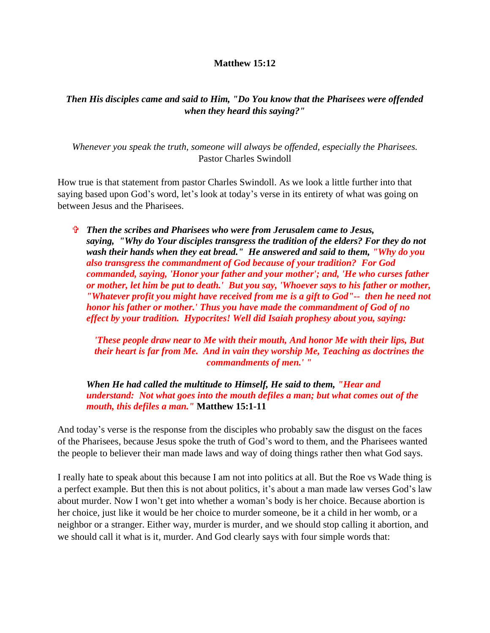## **Matthew 15:12**

## *Then His disciples came and said to Him, "Do You know that the Pharisees were offended when they heard this saying?"*

*Whenever you speak the truth, someone will always be offended, especially the Pharisees.* Pastor Charles Swindoll

How true is that statement from pastor Charles Swindoll. As we look a little further into that saying based upon God's word, let's look at today's verse in its entirety of what was going on between Jesus and the Pharisees.

 *Then the scribes and Pharisees who were from Jerusalem came to Jesus, saying, "Why do Your disciples transgress the tradition of the elders? For they do not wash their hands when they eat bread." He answered and said to them, "Why do you also transgress the commandment of God because of your tradition? For God commanded, saying, 'Honor your father and your mother'; and, 'He who curses father or mother, let him be put to death.' But you say, 'Whoever says to his father or mother, "Whatever profit you might have received from me is a gift to God"-- then he need not honor his father or mother.' Thus you have made the commandment of God of no effect by your tradition. Hypocrites! Well did Isaiah prophesy about you, saying:*

*'These people draw near to Me with their mouth, And honor Me with their lips, But their heart is far from Me. And in vain they worship Me, Teaching as doctrines the commandments of men.' "*

*When He had called the multitude to Himself, He said to them, "Hear and understand: Not what goes into the mouth defiles a man; but what comes out of the mouth, this defiles a man."* **Matthew 15:1-11**

And today's verse is the response from the disciples who probably saw the disgust on the faces of the Pharisees, because Jesus spoke the truth of God's word to them, and the Pharisees wanted the people to believer their man made laws and way of doing things rather then what God says.

I really hate to speak about this because I am not into politics at all. But the Roe vs Wade thing is a perfect example. But then this is not about politics, it's about a man made law verses God's law about murder. Now I won't get into whether a woman's body is her choice. Because abortion is her choice, just like it would be her choice to murder someone, be it a child in her womb, or a neighbor or a stranger. Either way, murder is murder, and we should stop calling it abortion, and we should call it what is it, murder. And God clearly says with four simple words that: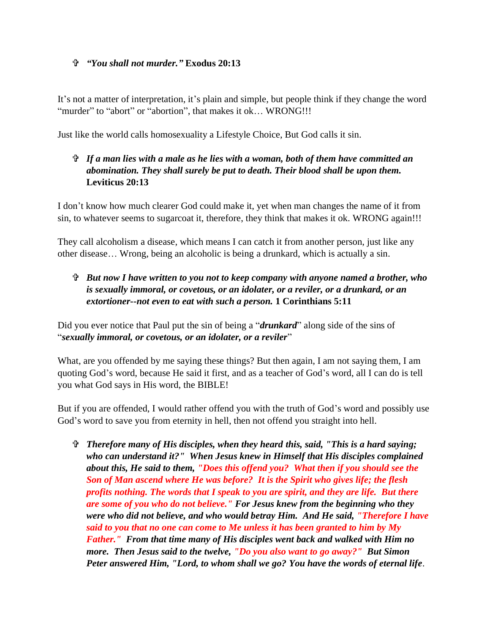## *"You shall not murder."* **Exodus 20:13**

It's not a matter of interpretation, it's plain and simple, but people think if they change the word "murder" to "abort" or "abortion", that makes it ok... WRONG!!!

Just like the world calls homosexuality a Lifestyle Choice, But God calls it sin.

## *If a man lies with a male as he lies with a woman, both of them have committed an abomination. They shall surely be put to death. Their blood shall be upon them.* **Leviticus 20:13**

I don't know how much clearer God could make it, yet when man changes the name of it from sin, to whatever seems to sugarcoat it, therefore, they think that makes it ok. WRONG again!!!

They call alcoholism a disease, which means I can catch it from another person, just like any other disease… Wrong, being an alcoholic is being a drunkard, which is actually a sin.

 *But now I have written to you not to keep company with anyone named a brother, who is sexually immoral, or covetous, or an idolater, or a reviler, or a drunkard, or an extortioner--not even to eat with such a person.* **1 Corinthians 5:11**

Did you ever notice that Paul put the sin of being a "*drunkard*" along side of the sins of "*sexually immoral, or covetous, or an idolater, or a reviler*"

What, are you offended by me saying these things? But then again, I am not saying them, I am quoting God's word, because He said it first, and as a teacher of God's word, all I can do is tell you what God says in His word, the BIBLE!

But if you are offended, I would rather offend you with the truth of God's word and possibly use God's word to save you from eternity in hell, then not offend you straight into hell.

 *Therefore many of His disciples, when they heard this, said, "This is a hard saying; who can understand it?" When Jesus knew in Himself that His disciples complained about this, He said to them, "Does this offend you? What then if you should see the Son of Man ascend where He was before? It is the Spirit who gives life; the flesh profits nothing. The words that I speak to you are spirit, and they are life. But there are some of you who do not believe." For Jesus knew from the beginning who they were who did not believe, and who would betray Him. And He said, "Therefore I have said to you that no one can come to Me unless it has been granted to him by My Father." From that time many of His disciples went back and walked with Him no more. Then Jesus said to the twelve, "Do you also want to go away?" But Simon Peter answered Him, "Lord, to whom shall we go? You have the words of eternal life*.